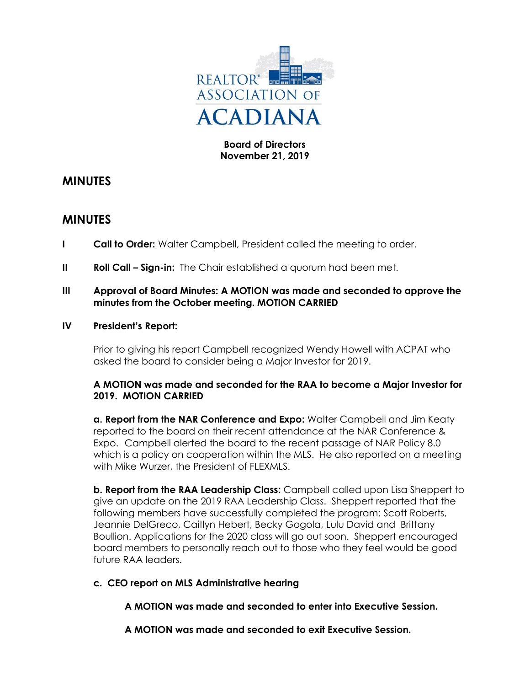

## **Board of Directors November 21, 2019**

# **MINUTES**

## **MINUTES**

- **I Call to Order:** Walter Campbell, President called the meeting to order.
- **II Roll Call Sign-in:** The Chair established a quorum had been met.

## **III Approval of Board Minutes: A MOTION was made and seconded to approve the minutes from the October meeting. MOTION CARRIED**

#### **IV President's Report:**

Prior to giving his report Campbell recognized Wendy Howell with ACPAT who asked the board to consider being a Major Investor for 2019.

#### **A MOTION was made and seconded for the RAA to become a Major Investor for 2019. MOTION CARRIED**

**a. Report from the NAR Conference and Expo:** Walter Campbell and Jim Keaty reported to the board on their recent attendance at the NAR Conference & Expo. Campbell alerted the board to the recent passage of NAR Policy 8.0 which is a policy on cooperation within the MLS. He also reported on a meeting with Mike Wurzer, the President of FLEXMLS.

**b. Report from the RAA Leadership Class:** Campbell called upon Lisa Sheppert to give an update on the 2019 RAA Leadership Class. Sheppert reported that the following members have successfully completed the program: Scott Roberts, Jeannie DelGreco, Caitlyn Hebert, Becky Gogola, Lulu David and Brittany Boullion. Applications for the 2020 class will go out soon. Sheppert encouraged board members to personally reach out to those who they feel would be good future RAA leaders.

## **c. CEO report on MLS Administrative hearing**

**A MOTION was made and seconded to enter into Executive Session.**

**A MOTION was made and seconded to exit Executive Session.**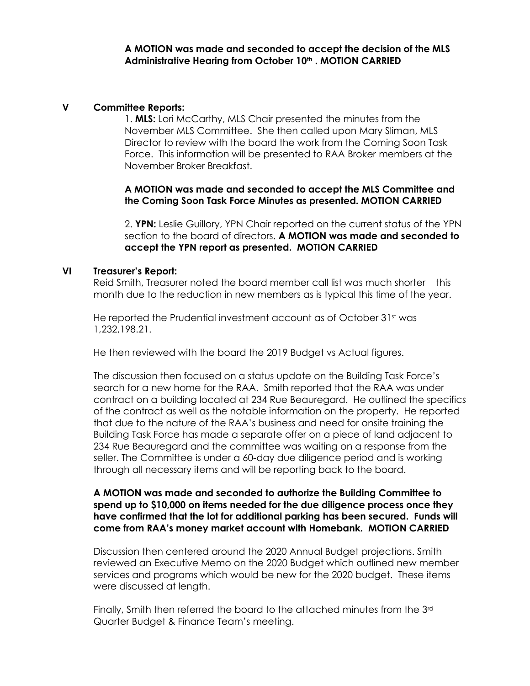**A MOTION was made and seconded to accept the decision of the MLS Administrative Hearing from October 10th . MOTION CARRIED**

#### **V Committee Reports:**

1. **MLS:** Lori McCarthy, MLS Chair presented the minutes from the November MLS Committee. She then called upon Mary Sliman, MLS Director to review with the board the work from the Coming Soon Task Force. This information will be presented to RAA Broker members at the November Broker Breakfast.

**A MOTION was made and seconded to accept the MLS Committee and the Coming Soon Task Force Minutes as presented. MOTION CARRIED**

2. **YPN:** Leslie Guillory, YPN Chair reported on the current status of the YPN section to the board of directors. **A MOTION was made and seconded to accept the YPN report as presented. MOTION CARRIED**

#### **VI Treasurer's Report:**

Reid Smith, Treasurer noted the board member call list was much shorter this month due to the reduction in new members as is typical this time of the year.

He reported the Prudential investment account as of October 31st was 1,232,198.21.

He then reviewed with the board the 2019 Budget vs Actual figures.

The discussion then focused on a status update on the Building Task Force's search for a new home for the RAA. Smith reported that the RAA was under contract on a building located at 234 Rue Beauregard. He outlined the specifics of the contract as well as the notable information on the property. He reported that due to the nature of the RAA's business and need for onsite training the Building Task Force has made a separate offer on a piece of land adjacent to 234 Rue Beauregard and the committee was waiting on a response from the seller. The Committee is under a 60-day due diligence period and is working through all necessary items and will be reporting back to the board.

#### **A MOTION was made and seconded to authorize the Building Committee to spend up to \$10,000 on items needed for the due diligence process once they have confirmed that the lot for additional parking has been secured. Funds will come from RAA's money market account with Homebank. MOTION CARRIED**

Discussion then centered around the 2020 Annual Budget projections. Smith reviewed an Executive Memo on the 2020 Budget which outlined new member services and programs which would be new for the 2020 budget. These items were discussed at length.

Finally, Smith then referred the board to the attached minutes from the 3rd Quarter Budget & Finance Team's meeting.